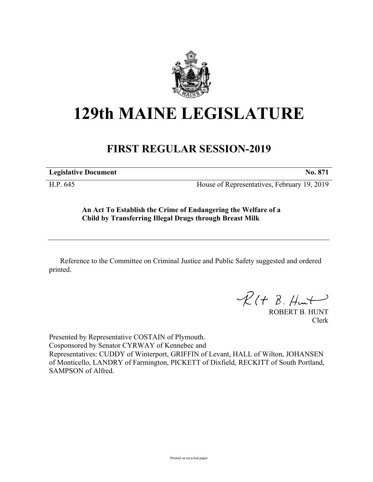

## **129th MAINE LEGISLATURE**

## **FIRST REGULAR SESSION-2019**

**Legislative Document No. 871**

H.P. 645 House of Representatives, February 19, 2019

**An Act To Establish the Crime of Endangering the Welfare of a Child by Transferring Illegal Drugs through Breast Milk**

Reference to the Committee on Criminal Justice and Public Safety suggested and ordered printed.

 $R(H B. H<sub>un</sub>+)$ 

ROBERT B. HUNT Clerk

Presented by Representative COSTAIN of Plymouth. Cosponsored by Senator CYRWAY of Kennebec and Representatives: CUDDY of Winterport, GRIFFIN of Levant, HALL of Wilton, JOHANSEN of Monticello, LANDRY of Farmington, PICKETT of Dixfield, RECKITT of South Portland, SAMPSON of Alfred.